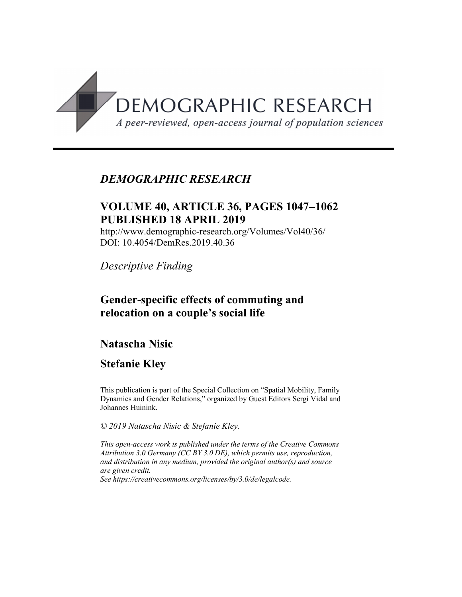

## *DEMOGRAPHIC RESEARCH*

## **VOLUME 40, ARTICLE 36, PAGES 1047**-**1062 PUBLISHED 18 APRIL 2019**

http://www.demographic-research.org/Volumes/Vol40/36/ DOI: 10.4054/DemRes.2019.40.36

*Descriptive Finding*

### **Gender-specific effects of commuting and relocation on a couple's social life**

## **Natascha Nisic**

## **Stefanie Kley**

This publication is part of the Special Collection on "Spatial Mobility, Family Dynamics and Gender Relations," organized by Guest Editors Sergi Vidal and Johannes Huinink.

*© 2019 Natascha Nisic & Stefanie Kley.*

*This open-access work is published under the terms of the Creative Commons Attribution 3.0 Germany (CC BY 3.0 DE), which permits use, reproduction, and distribution in any medium, provided the original author(s) and source are given credit. See [https://creativecommons.org/licenses/by/3.0/de/legalcode.](https://creativecommons.org/licenses/by/3.0/de/legalcode)*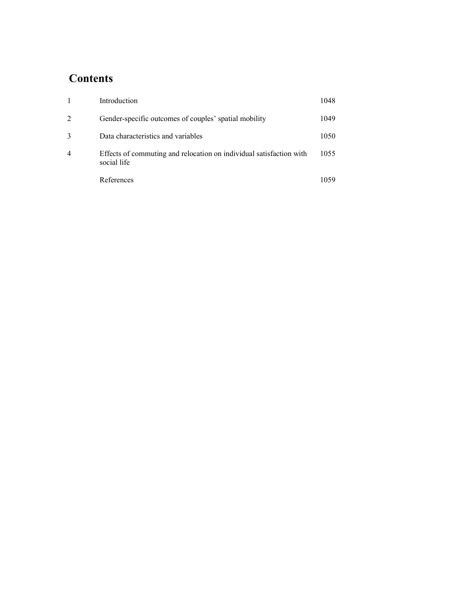# **Contents**

|                | Introduction                                                                       | 1048 |
|----------------|------------------------------------------------------------------------------------|------|
| $\overline{2}$ | Gender-specific outcomes of couples' spatial mobility                              | 1049 |
| $\mathcal{R}$  | Data characteristics and variables                                                 | 1050 |
| $\overline{4}$ | Effects of commuting and relocation on individual satisfaction with<br>social life | 1055 |
|                | References                                                                         | 1059 |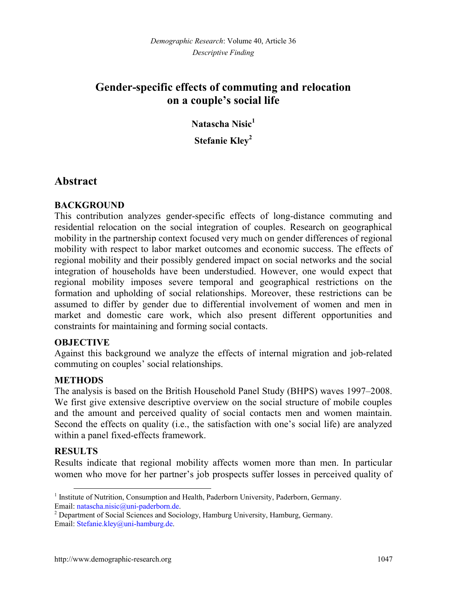# **Gender-specific effects of commuting and relocation on a couple's social life**

**Natascha Nisic[1](#page-2-0) Stefanie Kley[2](#page-2-1)**

### **Abstract**

#### **BACKGROUND**

This contribution analyzes gender-specific effects of long-distance commuting and residential relocation on the social integration of couples. Research on geographical mobility in the partnership context focused very much on gender differences of regional mobility with respect to labor market outcomes and economic success. The effects of regional mobility and their possibly gendered impact on social networks and the social integration of households have been understudied. However, one would expect that regional mobility imposes severe temporal and geographical restrictions on the formation and upholding of social relationships. Moreover, these restrictions can be assumed to differ by gender due to differential involvement of women and men in market and domestic care work, which also present different opportunities and constraints for maintaining and forming social contacts.

#### **OBJECTIVE**

Against this background we analyze the effects of internal migration and job-related commuting on couples' social relationships.

#### **METHODS**

The analysis is based on the British Household Panel Study (BHPS) waves 1997–2008. We first give extensive descriptive overview on the social structure of mobile couples and the amount and perceived quality of social contacts men and women maintain. Second the effects on quality (i.e., the satisfaction with one's social life) are analyzed within a panel fixed-effects framework.

### **RESULTS**

Results indicate that regional mobility affects women more than men. In particular women who move for her partner's job prospects suffer losses in perceived quality of

<span id="page-2-0"></span><sup>&</sup>lt;sup>1</sup> Institute of Nutrition, Consumption and Health, Paderborn University, Paderborn, Germany. Email: [natascha.nisic@uni-paderborn.de.](mailto:natascha.nisic@uni-paderborn.de)

<span id="page-2-1"></span><sup>&</sup>lt;sup>2</sup> Department of Social Sciences and Sociology, Hamburg University, Hamburg, Germany. Email: [Stefanie.kley@uni-hamburg.de.](mailto:Stefanie.kley@uni-hamburg.de)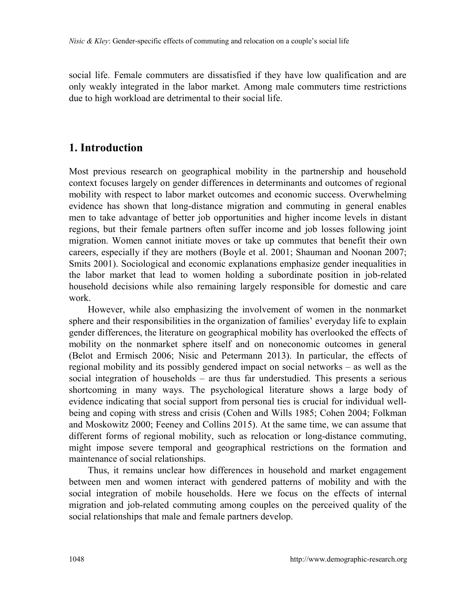social life. Female commuters are dissatisfied if they have low qualification and are only weakly integrated in the labor market. Among male commuters time restrictions due to high workload are detrimental to their social life.

### **1. Introduction**

Most previous research on geographical mobility in the partnership and household context focuses largely on gender differences in determinants and outcomes of regional mobility with respect to labor market outcomes and economic success. Overwhelming evidence has shown that long-distance migration and commuting in general enables men to take advantage of better job opportunities and higher income levels in distant regions, but their female partners often suffer income and job losses following joint migration. Women cannot initiate moves or take up commutes that benefit their own careers, especially if they are mothers (Boyle et al. 2001; Shauman and Noonan 2007; Smits 2001). Sociological and economic explanations emphasize gender inequalities in the labor market that lead to women holding a subordinate position in job-related household decisions while also remaining largely responsible for domestic and care work.

However, while also emphasizing the involvement of women in the nonmarket sphere and their responsibilities in the organization of families' everyday life to explain gender differences, the literature on geographical mobility has overlooked the effects of mobility on the nonmarket sphere itself and on noneconomic outcomes in general (Belot and Ermisch 2006; Nisic and Petermann 2013). In particular, the effects of regional mobility and its possibly gendered impact on social networks – as well as the social integration of households – are thus far understudied. This presents a serious shortcoming in many ways. The psychological literature shows a large body of evidence indicating that social support from personal ties is crucial for individual wellbeing and coping with stress and crisis (Cohen and Wills 1985; Cohen 2004; Folkman and Moskowitz 2000; Feeney and Collins 2015). At the same time, we can assume that different forms of regional mobility, such as relocation or long-distance commuting, might impose severe temporal and geographical restrictions on the formation and maintenance of social relationships.

Thus, it remains unclear how differences in household and market engagement between men and women interact with gendered patterns of mobility and with the social integration of mobile households. Here we focus on the effects of internal migration and job-related commuting among couples on the perceived quality of the social relationships that male and female partners develop.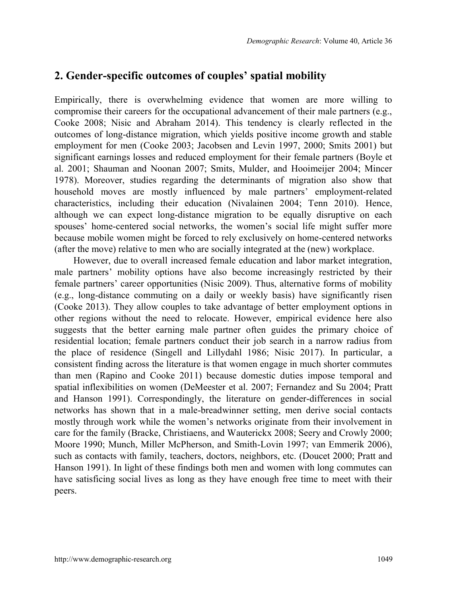## **2. Gender-specific outcomes of couples' spatial mobility**

Empirically, there is overwhelming evidence that women are more willing to compromise their careers for the occupational advancement of their male partners (e.g., Cooke 2008; Nisic and Abraham 2014). This tendency is clearly reflected in the outcomes of long-distance migration, which yields positive income growth and stable employment for men (Cooke 2003; Jacobsen and Levin 1997, 2000; Smits 2001) but significant earnings losses and reduced employment for their female partners (Boyle et al. 2001; Shauman and Noonan 2007; Smits, Mulder, and Hooimeijer 2004; Mincer 1978). Moreover, studies regarding the determinants of migration also show that household moves are mostly influenced by male partners' employment-related characteristics, including their education (Nivalainen 2004; Tenn 2010). Hence, although we can expect long-distance migration to be equally disruptive on each spouses' home-centered social networks, the women's social life might suffer more because mobile women might be forced to rely exclusively on home-centered networks (after the move) relative to men who are socially integrated at the (new) workplace.

However, due to overall increased female education and labor market integration, male partners' mobility options have also become increasingly restricted by their female partners' career opportunities (Nisic 2009). Thus, alternative forms of mobility (e.g., long-distance commuting on a daily or weekly basis) have significantly risen (Cooke 2013). They allow couples to take advantage of better employment options in other regions without the need to relocate. However, empirical evidence here also suggests that the better earning male partner often guides the primary choice of residential location; female partners conduct their job search in a narrow radius from the place of residence (Singell and Lillydahl 1986; Nisic 2017). In particular, a consistent finding across the literature is that women engage in much shorter commutes than men (Rapino and Cooke 2011) because domestic duties impose temporal and spatial inflexibilities on women (DeMeester et al. 2007; Fernandez and Su 2004; Pratt and Hanson 1991). Correspondingly, the literature on gender-differences in social networks has shown that in a male-breadwinner setting, men derive social contacts mostly through work while the women's networks originate from their involvement in care for the family (Bracke, Christiaens, and Wauterickx 2008; Seery and Crowly 2000; Moore 1990; Munch, Miller McPherson, and Smith-Lovin 1997; van Emmerik 2006), such as contacts with family, teachers, doctors, neighbors, etc. (Doucet 2000; Pratt and Hanson 1991). In light of these findings both men and women with long commutes can have satisficing social lives as long as they have enough free time to meet with their peers.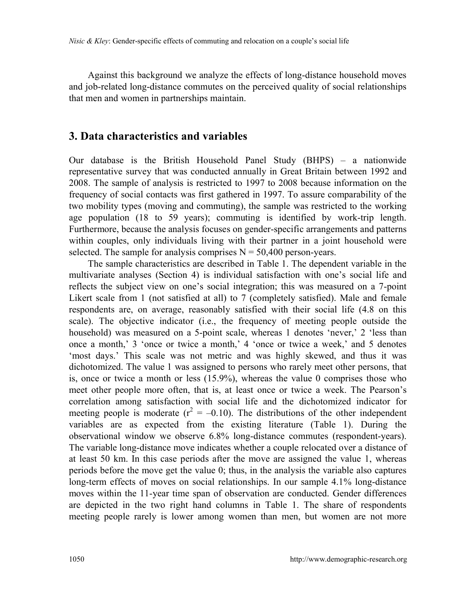Against this background we analyze the effects of long-distance household moves and job-related long-distance commutes on the perceived quality of social relationships that men and women in partnerships maintain.

### **3. Data characteristics and variables**

Our database is the British Household Panel Study (BHPS) – a nationwide representative survey that was conducted annually in Great Britain between 1992 and 2008. The sample of analysis is restricted to 1997 to 2008 because information on the frequency of social contacts was first gathered in 1997. To assure comparability of the two mobility types (moving and commuting), the sample was restricted to the working age population (18 to 59 years); commuting is identified by work-trip length. Furthermore, because the analysis focuses on gender-specific arrangements and patterns within couples, only individuals living with their partner in a joint household were selected. The sample for analysis comprises  $N = 50,400$  person-years.

The sample characteristics are described in Table 1. The dependent variable in the multivariate analyses (Section 4) is individual satisfaction with one's social life and reflects the subject view on one's social integration; this was measured on a 7-point Likert scale from 1 (not satisfied at all) to 7 (completely satisfied). Male and female respondents are, on average, reasonably satisfied with their social life (4.8 on this scale). The objective indicator (i.e., the frequency of meeting people outside the household) was measured on a 5-point scale, whereas 1 denotes 'never,' 2 'less than once a month,' 3 'once or twice a month,' 4 'once or twice a week,' and 5 denotes 'most days.' This scale was not metric and was highly skewed, and thus it was dichotomized. The value 1 was assigned to persons who rarely meet other persons, that is, once or twice a month or less (15.9%), whereas the value 0 comprises those who meet other people more often, that is, at least once or twice a week. The Pearson's correlation among satisfaction with social life and the dichotomized indicator for meeting people is moderate ( $r^2 = -0.10$ ). The distributions of the other independent variables are as expected from the existing literature (Table 1). During the observational window we observe 6.8% long-distance commutes (respondent-years). The variable long-distance move indicates whether a couple relocated over a distance of at least 50 km. In this case periods after the move are assigned the value 1, whereas periods before the move get the value 0; thus, in the analysis the variable also captures long-term effects of moves on social relationships. In our sample 4.1% long-distance moves within the 11-year time span of observation are conducted. Gender differences are depicted in the two right hand columns in Table 1. The share of respondents meeting people rarely is lower among women than men, but women are not more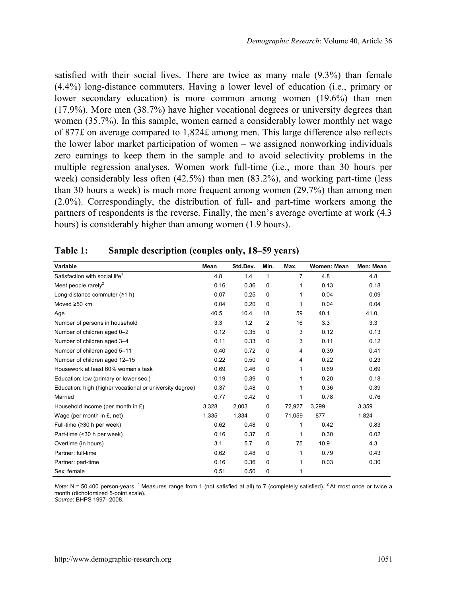satisfied with their social lives. There are twice as many male (9.3%) than female (4.4%) long-distance commuters. Having a lower level of education (i.e., primary or lower secondary education) is more common among women (19.6%) than men (17.9%). More men (38.7%) have higher vocational degrees or university degrees than women (35.7%). In this sample, women earned a considerably lower monthly net wage of 877£ on average compared to 1,824£ among men. This large difference also reflects the lower labor market participation of women – we assigned nonworking individuals zero earnings to keep them in the sample and to avoid selectivity problems in the multiple regression analyses. Women work full-time (i.e., more than 30 hours per week) considerably less often (42.5%) than men (83.2%), and working part-time (less than 30 hours a week) is much more frequent among women (29.7%) than among men (2.0%). Correspondingly, the distribution of full- and part-time workers among the partners of respondents is the reverse. Finally, the men's average overtime at work (4.3 hours) is considerably higher than among women (1.9 hours).

| Variable                                                 | Mean  | Std.Dev. | Min.           | Max.           | Women: Mean | Men: Mean |
|----------------------------------------------------------|-------|----------|----------------|----------------|-------------|-----------|
| Satisfaction with social life <sup>1</sup>               | 4.8   | 1.4      | 1              | $\overline{7}$ | 4.8         | 4.8       |
| Meet people rarely <sup>2</sup>                          | 0.16  | 0.36     | 0              | 1              | 0.13        | 0.18      |
| Long-distance commuter $(21 h)$                          | 0.07  | 0.25     | $\Omega$       | 1              | 0.04        | 0.09      |
| Moved ≥50 km                                             | 0.04  | 0.20     | $\Omega$       | 1              | 0.04        | 0.04      |
| Age                                                      | 40.5  | 10.4     | 18             | 59             | 40.1        | 41.0      |
| Number of persons in household                           | 3.3   | 1.2      | $\overline{2}$ | 16             | 3.3         | 3.3       |
| Number of children aged 0-2                              | 0.12  | 0.35     | $\Omega$       | 3              | 0.12        | 0.13      |
| Number of children aged 3-4                              | 0.11  | 0.33     | $\Omega$       | 3              | 0.11        | 0.12      |
| Number of children aged 5-11                             | 0.40  | 0.72     | $\Omega$       | 4              | 0.39        | 0.41      |
| Number of children aged 12-15                            | 0.22  | 0.50     | 0              | 4              | 0.22        | 0.23      |
| Housework at least 60% woman's task                      | 0.69  | 0.46     | $\Omega$       | 1              | 0.69        | 0.69      |
| Education: low (primary or lower sec.)                   | 0.19  | 0.39     | $\Omega$       | 1              | 0.20        | 0.18      |
| Education: high (higher vocational or university degree) | 0.37  | 0.48     | $\Omega$       | 1              | 0.36        | 0.39      |
| Married                                                  | 0.77  | 0.42     | 0              | 1              | 0.78        | 0.76      |
| Household income (per month in £)                        | 3,328 | 2.003    | $\Omega$       | 72.927         | 3,299       | 3.359     |
| Wage (per month in £, net)                               | 1.335 | 1.334    | $\Omega$       | 71.059         | 877         | 1,824     |
| Full-time (≥30 h per week)                               | 0.62  | 0.48     | $\Omega$       | 1              | 0.42        | 0.83      |
| Part-time (<30 h per week)                               | 0.16  | 0.37     | 0              | 1              | 0.30        | 0.02      |
| Overtime (in hours)                                      | 3.1   | 5.7      | $\Omega$       | 75             | 10.9        | 4.3       |
| Partner: full-time                                       | 0.62  | 0.48     | $\Omega$       | 1              | 0.79        | 0.43      |
| Partner: part-time                                       | 0.16  | 0.36     | $\Omega$       | 1              | 0.03        | 0.30      |
| Sex: female                                              | 0.51  | 0.50     | $\Omega$       | 1              |             |           |

| Table 1: |  |  |  | Sample description (couples only, 18–59 years) |
|----------|--|--|--|------------------------------------------------|
|----------|--|--|--|------------------------------------------------|

*Note*: N = 50,400 person-years. <sup>1</sup> Measures range from 1 (not satisfied at all) to 7 (completely satisfied). <sup>2</sup> At most once or twice a month (dichotomized 5-point scale). *Source*: BHPS 1997–2008.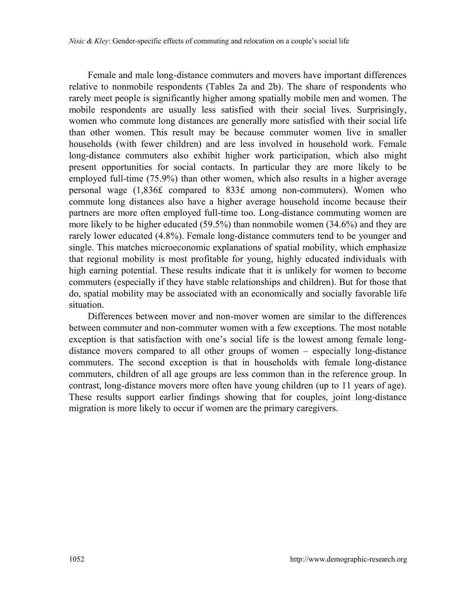Female and male long-distance commuters and movers have important differences relative to nonmobile respondents (Tables 2a and 2b). The share of respondents who rarely meet people is significantly higher among spatially mobile men and women. The mobile respondents are usually less satisfied with their social lives. Surprisingly, women who commute long distances are generally more satisfied with their social life than other women. This result may be because commuter women live in smaller households (with fewer children) and are less involved in household work. Female long-distance commuters also exhibit higher work participation, which also might present opportunities for social contacts. In particular they are more likely to be employed full-time (75.9%) than other women, which also results in a higher average personal wage (1,836£ compared to 833£ among non-commuters). Women who commute long distances also have a higher average household income because their partners are more often employed full-time too. Long-distance commuting women are more likely to be higher educated (59.5%) than nonmobile women (34.6%) and they are rarely lower educated (4.8%). Female long-distance commuters tend to be younger and single. This matches microeconomic explanations of spatial mobility, which emphasize that regional mobility is most profitable for young, highly educated individuals with high earning potential. These results indicate that it is unlikely for women to become commuters (especially if they have stable relationships and children). But for those that do, spatial mobility may be associated with an economically and socially favorable life situation.

Differences between mover and non-mover women are similar to the differences between commuter and non-commuter women with a few exceptions. The most notable exception is that satisfaction with one's social life is the lowest among female longdistance movers compared to all other groups of women – especially long-distance commuters. The second exception is that in households with female long-distance commuters, children of all age groups are less common than in the reference group. In contrast, long-distance movers more often have young children (up to 11 years of age). These results support earlier findings showing that for couples, joint long-distance migration is more likely to occur if women are the primary caregivers.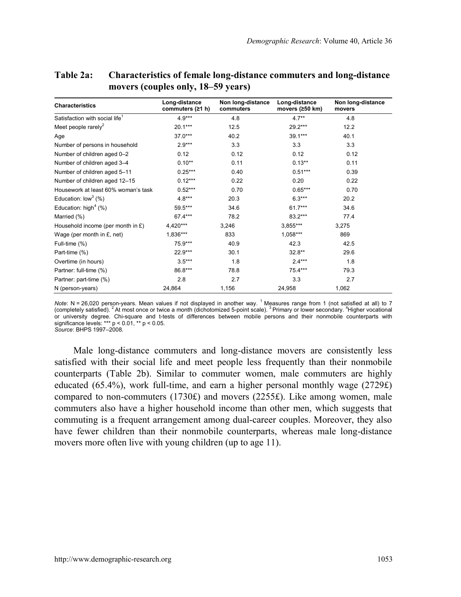| <b>Characteristics</b>                     | Non long-distance<br>Long-distance<br>commuters (≥1 h)<br>commuters |       | Long-distance<br>movers (≥50 km) | Non long-distance<br>movers |  |
|--------------------------------------------|---------------------------------------------------------------------|-------|----------------------------------|-----------------------------|--|
| Satisfaction with social life <sup>1</sup> | $4.9***$                                                            | 4.8   | $4.7**$                          | 4.8                         |  |
| Meet people rarely <sup>2</sup>            | $20.1***$                                                           | 12.5  | $29.2***$                        | 12.2                        |  |
| Age                                        | $37.0***$                                                           | 40.2  | $39.1***$                        | 40.1                        |  |
| Number of persons in household             | $2.9***$                                                            | 3.3   | 3.3                              | 3.3                         |  |
| Number of children aged 0-2                | 0.12                                                                | 0.12  | 0.12                             | 0.12                        |  |
| Number of children aged 3-4                | $0.10**$                                                            | 0.11  | $0.13**$                         | 0.11                        |  |
| Number of children aged 5-11               | $0.25***$                                                           | 0.40  | $0.51***$                        | 0.39                        |  |
| Number of children aged 12-15              | $0.12***$                                                           | 0.22  | 0.20                             | 0.22                        |  |
| Housework at least 60% woman's task        | $0.52***$                                                           | 0.70  | $0.65***$                        | 0.70                        |  |
| Education: $low^3$ (%)                     | $4.8***$                                                            | 20.3  | $6.3***$                         | 20.2                        |  |
| Education: high <sup>4</sup> $(%)$         | 59.5***                                                             | 34.6  | $61.7***$                        | 34.6                        |  |
| Married (%)                                | 67.4***                                                             | 78.2  | 83.2***                          | 77.4                        |  |
| Household income (per month in £)          | $4,420***$                                                          | 3,246 | $3,855***$                       | 3,275                       |  |
| Wage (per month in £, net)                 | 1,836***                                                            | 833   | $1,058***$                       | 869                         |  |
| Full-time (%)                              | $75.9***$                                                           | 40.9  | 42.3                             | 42.5                        |  |
| Part-time (%)                              | 22.9***                                                             | 30.1  | $32.8**$                         | 29.6                        |  |
| Overtime (in hours)                        | $3.5***$                                                            | 1.8   | $2.4***$                         | 1.8                         |  |
| Partner: full-time (%)                     | 86.8***                                                             | 78.8  | $75.4***$                        | 79.3                        |  |
| Partner: part-time (%)                     | 2.8                                                                 | 2.7   | 3.3                              | 2.7                         |  |
| N (person-years)                           | 24,864                                                              | 1,156 | 24,958                           | 1,062                       |  |

#### **Table 2a: Characteristics of female long-distance commuters and long-distance movers (couples only, 18–59 years)**

*Note*: N = 26,020 person-years. Mean values if not displayed in another way. <sup>1</sup> Measures range from 1 (not satisfied at all) to 7 (completely satisfied). <sup>2</sup> At most once or twice a month (dichotomized 5-point scale). <sup>3</sup> Primary or lower secondary. <sup>4</sup>Higher vocational or university degree. Chi-square and t-tests of differences between mobile persons and their nonmobile counterparts with significance levels: \*\*\*  $p < 0.01$ , \*\*  $p < 0.05$ . *Source*: BHPS 1997–2008.

Male long-distance commuters and long-distance movers are consistently less satisfied with their social life and meet people less frequently than their nonmobile counterparts (Table 2b). Similar to commuter women, male commuters are highly educated (65.4%), work full-time, and earn a higher personal monthly wage (2729 $\pounds$ ) compared to non-commuters  $(1730 $\text{\textsterling})$  and movers  $(2255\text{\textsterling})$ . Like among women, male$ commuters also have a higher household income than other men, which suggests that commuting is a frequent arrangement among dual-career couples. Moreover, they also have fewer children than their nonmobile counterparts, whereas male long-distance movers more often live with young children (up to age 11).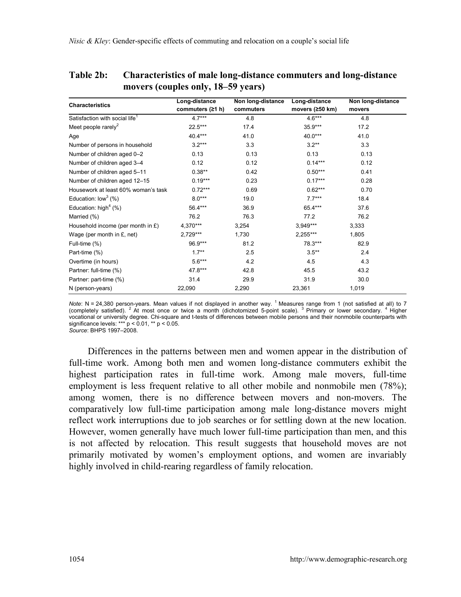| <b>Characteristics</b>                     | Long-distance<br>commuters (≥1 h) | Non long-distance<br>commuters | Long-distance<br>movers (≥50 km) | Non long-distance<br>movers |  |
|--------------------------------------------|-----------------------------------|--------------------------------|----------------------------------|-----------------------------|--|
| Satisfaction with social life <sup>1</sup> | $4.7***$                          | 4.8                            | $4.6***$                         | 4.8                         |  |
| Meet people rarely $2$                     | $22.5***$                         | 17.4                           | $35.9***$                        | 17.2                        |  |
| Age                                        | $40.4***$                         | 41.0                           | 40.0***                          | 41.0                        |  |
| Number of persons in household             | $3.2***$                          | 3.3                            | $3.2**$                          | 3.3                         |  |
| Number of children aged 0-2                | 0.13                              | 0.13                           | 0.13                             | 0.13                        |  |
| Number of children aged 3-4                | 0.12                              | 0.12                           | $0.14***$                        | 0.12                        |  |
| Number of children aged 5-11               | $0.38**$                          | 0.42                           | $0.50***$                        | 0.41                        |  |
| Number of children aged 12-15              | $0.19***$                         | 0.23                           | $0.17***$                        | 0.28                        |  |
| Housework at least 60% woman's task        | $0.72***$                         | 0.69                           | $0.62***$                        | 0.70                        |  |
| Education: $low3$ (%)                      | $8.0***$                          | 19.0                           | $7.7***$                         | 18.4                        |  |
| Education: high <sup>4</sup> $(%)$         | 56.4***                           | 36.9                           | 65.4***                          | 37.6                        |  |
| Married (%)                                | 76.2                              | 76.3                           | 77.2                             | 76.2                        |  |
| Household income (per month in £)          | 4,370***                          | 3,254                          | $3,949***$                       | 3,333                       |  |
| Wage (per month in £, net)                 | $2,729***$                        | 1,730                          | $2,255***$                       | 1,805                       |  |
| Full-time (%)                              | 96.9***                           | 81.2                           | 78.3***                          | 82.9                        |  |
| Part-time (%)                              | $1.7***$                          | 2.5                            | $3.5***$                         | 2.4                         |  |
| Overtime (in hours)                        | $5.6***$                          | 4.2                            | 4.5                              | 4.3                         |  |
| Partner: full-time (%)                     | 47.8***                           | 42.8                           | 45.5                             | 43.2                        |  |
| Partner: part-time (%)                     | 31.4                              | 29.9                           | 31.9                             | 30.0                        |  |
| N (person-years)                           | 22,090                            | 2,290                          | 23,361                           | 1,019                       |  |

**Table 2b: Characteristics of male long-distance commuters and long-distance movers (couples only, 18–59 years)**

Note: N = 24,380 person-years. Mean values if not displayed in another way. <sup>1</sup> Measures range from 1 (not satisfied at all) to 7 completely satisfied at all) to 7 completely satisfied at all) to 7 vocational or university degree. Chi-square and t-tests of differences between mobile persons and their nonmobile counterparts with significance levels: \*\*\* p < 0.01, \*\* p < 0.05. *Source*: BHPS 1997–2008.

Differences in the patterns between men and women appear in the distribution of full-time work. Among both men and women long-distance commuters exhibit the highest participation rates in full-time work. Among male movers, full-time employment is less frequent relative to all other mobile and nonmobile men (78%); among women, there is no difference between movers and non-movers. The comparatively low full-time participation among male long-distance movers might reflect work interruptions due to job searches or for settling down at the new location. However, women generally have much lower full-time participation than men, and this is not affected by relocation. This result suggests that household moves are not primarily motivated by women's employment options, and women are invariably highly involved in child-rearing regardless of family relocation.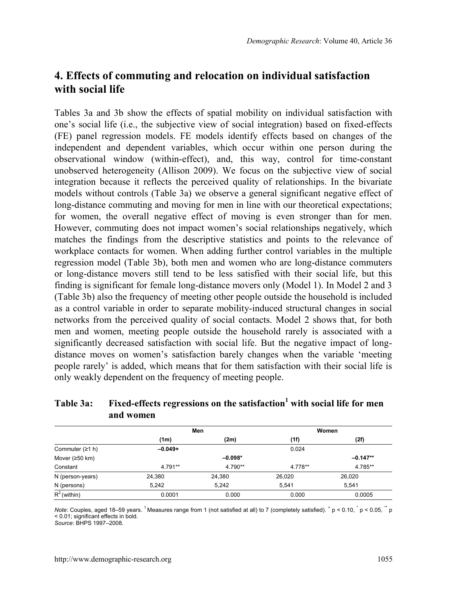## **4. Effects of commuting and relocation on individual satisfaction with social life**

Tables 3a and 3b show the effects of spatial mobility on individual satisfaction with one's social life (i.e., the subjective view of social integration) based on fixed-effects (FE) panel regression models. FE models identify effects based on changes of the independent and dependent variables, which occur within one person during the observational window (within-effect), and, this way, control for time-constant unobserved heterogeneity (Allison 2009). We focus on the subjective view of social integration because it reflects the perceived quality of relationships. In the bivariate models without controls (Table 3a) we observe a general significant negative effect of long-distance commuting and moving for men in line with our theoretical expectations; for women, the overall negative effect of moving is even stronger than for men. However, commuting does not impact women's social relationships negatively, which matches the findings from the descriptive statistics and points to the relevance of workplace contacts for women. When adding further control variables in the multiple regression model (Table 3b), both men and women who are long-distance commuters or long-distance movers still tend to be less satisfied with their social life, but this finding is significant for female long-distance movers only (Model 1). In Model 2 and 3 (Table 3b) also the frequency of meeting other people outside the household is included as a control variable in order to separate mobility-induced structural changes in social networks from the perceived quality of social contacts. Model 2 shows that, for both men and women, meeting people outside the household rarely is associated with a significantly decreased satisfaction with social life. But the negative impact of longdistance moves on women's satisfaction barely changes when the variable 'meeting people rarely' is added, which means that for them satisfaction with their social life is only weakly dependent on the frequency of meeting people.

|                   |           | Men       |         | Women      |
|-------------------|-----------|-----------|---------|------------|
|                   | (1m)      | (2m)      | (1f)    | (2f)       |
| Commuter $(21 h)$ | $-0.049+$ |           | 0.024   |            |
| Mover $(250 km)$  |           | $-0.098*$ |         | $-0.147**$ |
| Constant          | $4.791**$ | 4.790**   | 4.778** | 4.785**    |
| N (person-years)  | 24,380    | 24,380    | 26,020  | 26.020     |
| N (persons)       | 5.242     | 5.242     | 5.541   | 5.541      |
| $R^2$ (within)    | 0.0001    | 0.000     | 0.000   | 0.0005     |

### **Table 3a: Fixed-effects regressions on the satisfaction<sup>1</sup> with social life for men and women**

Note: Couples, aged 18–59 years. <sup>1</sup> Measures range from 1 (not satisfied at all) to 7 (completely satisfied).  $*$  p < 0.10,  $*$  p < 0.05,  $*$  p < 0.01; significant effects in bold.

*Source*: BHPS 1997–2008.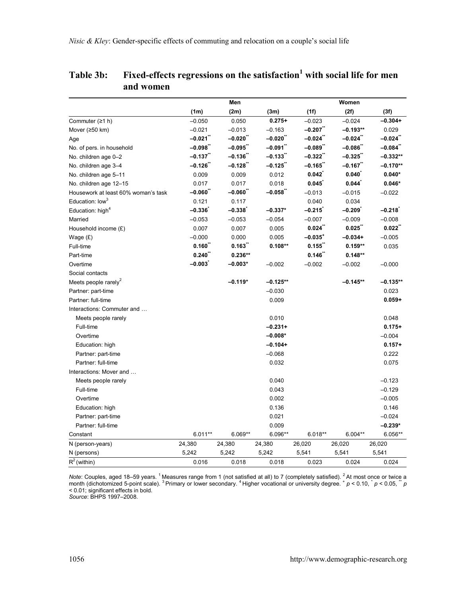|                                     | Men              |           |            | Women        |            |            |
|-------------------------------------|------------------|-----------|------------|--------------|------------|------------|
|                                     | (1m)             | (2m)      | (3m)       | (1f)         | (2f)       | (3f)       |
| Commuter (≥1 h)                     | $-0.050$         | 0.050     | $0.275+$   | $-0.023$     | $-0.024$   | $-0.304+$  |
| Mover (≥50 km)                      | $-0.021$         | $-0.013$  | $-0.163$   | $-0.207$     | $-0.193**$ | 0.029      |
| Age                                 | -0.021¨          | $-0.020$  | $-0.020$   | $-0.024$     | $-0.024$   | -0.024¨    |
| No. of pers. in household           | $-0.098"$        | $-0.095$  | $-0.091$   | -0.089¨      | $-0.086$   | $-0.084"$  |
| No. children age 0-2                | $-0.137$         | $-0.136$  | $-0.133$   | $-0.322$     | $-0.325$   | $-0.332**$ |
| No. children age 3-4                | $-0.126$         | $-0.128$  | $-0.125$   | $-0.165$     | $-0.167$   | $-0.170**$ |
| No. children age 5-11               | 0.009            | 0.009     | 0.012      | 0.042        | 0.040      | $0.040*$   |
| No. children age 12-15              | 0.017            | 0.017     | 0.018      | 0.045        | 0.044      | $0.046*$   |
| Housework at least 60% woman's task | $-0.060^\degree$ | $-0.060$  | $-0.058"$  | $-0.013$     | $-0.015$   | $-0.022$   |
| Education: low <sup>3</sup>         | 0.121            | 0.117     |            | 0.040        | 0.034      |            |
| Education: high <sup>4</sup>        | $-0.336$         | $-0.338$  | $-0.337*$  | $-0.215$     | $-0.209$   | $-0.218$ ົ |
| Married                             | $-0.053$         | $-0.053$  | $-0.054$   | $-0.007$     | $-0.009$   | $-0.008$   |
| Household income (£)                | 0.007            | 0.007     | 0.005      | 0.024        | 0.025      | 0.022"     |
| Wage $(E)$                          | $-0.000$         | 0.000     | 0.005      | $-0.035^{+}$ | $-0.034+$  | $-0.005$   |
| Full-time                           | 0.160"           | 0.163"    | $0.108**$  | 0.155        | $0.159**$  | 0.035      |
| Part-time                           | $0.240^{''}$     | $0.236**$ |            | 0.146        | $0.148**$  |            |
| Overtime                            | $-0.003$         | $-0.003*$ | $-0.002$   | $-0.002$     | $-0.002$   | $-0.000$   |
| Social contacts                     |                  |           |            |              |            |            |
| Meets people rarely <sup>2</sup>    |                  | $-0.119*$ | $-0.125**$ |              | $-0.145**$ | -0.135**   |
| Partner: part-time                  |                  |           | $-0.030$   |              |            | 0.023      |
| Partner: full-time                  |                  |           | 0.009      |              |            | $0.059 +$  |
| Interactions: Commuter and          |                  |           |            |              |            |            |
| Meets people rarely                 |                  |           | 0.010      |              |            | 0.048      |
| Full-time                           |                  |           | $-0.231+$  |              |            | $0.175+$   |
| Overtime                            |                  |           | $-0.008*$  |              |            | $-0.004$   |
| Education: high                     |                  |           | $-0.104+$  |              |            | $0.157+$   |
| Partner: part-time                  |                  |           | $-0.068$   |              |            | 0.222      |
| Partner: full-time                  |                  |           | 0.032      |              |            | 0.075      |
| Interactions: Mover and             |                  |           |            |              |            |            |
| Meets people rarely                 |                  |           | 0.040      |              |            | $-0.123$   |
| Full-time                           |                  |           | 0.043      |              |            | $-0.129$   |
| Overtime                            |                  |           | 0.002      |              |            | $-0.005$   |
| Education: high                     |                  |           | 0.136      |              |            | 0.146      |
| Partner: part-time                  |                  |           | 0.021      |              |            | $-0.024$   |
| Partner: full-time                  |                  |           | 0.009      |              |            | $-0.239*$  |
| Constant                            | $6.011**$        | $6.069**$ | 6.096**    | $6.018**$    | $6.004**$  | 6.056**    |
| N (person-years)                    | 24,380           | 24,380    | 24,380     | 26,020       | 26,020     | 26,020     |
| N (persons)                         | 5,242            | 5,242     | 5,242      | 5,541        | 5,541      | 5,541      |
| $R^2$ (within)                      | 0.016            | 0.018     | 0.018      | 0.023        | 0.024      | 0.024      |

#### **Table 3b: Fixed-effects regressions on the satisfaction<sup>1</sup> with social life for men and women**

Note: Couples, aged 18–59 years. <sup>1</sup> Measures range from 1 (not satisfied at all) to 7 (completely satisfied). <sup>2</sup> At most once or twice a<br>month (dichotomized 5-point scale). <sup>3</sup> Primary or lower secondary. <sup>4</sup> Higher voca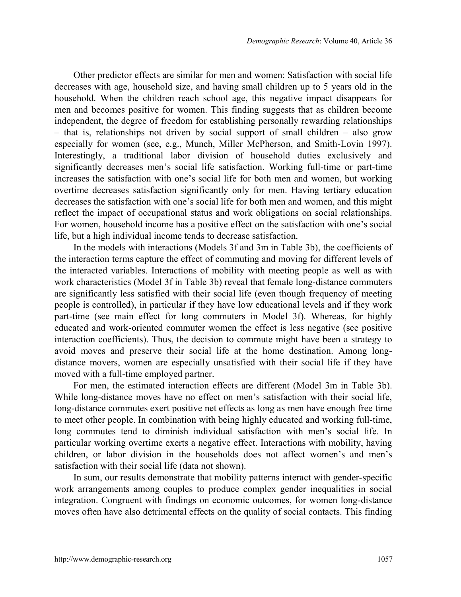Other predictor effects are similar for men and women: Satisfaction with social life decreases with age, household size, and having small children up to 5 years old in the household. When the children reach school age, this negative impact disappears for men and becomes positive for women. This finding suggests that as children become independent, the degree of freedom for establishing personally rewarding relationships – that is, relationships not driven by social support of small children – also grow especially for women (see, e.g., Munch, Miller McPherson, and Smith-Lovin 1997). Interestingly, a traditional labor division of household duties exclusively and significantly decreases men's social life satisfaction. Working full-time or part-time increases the satisfaction with one's social life for both men and women, but working overtime decreases satisfaction significantly only for men. Having tertiary education decreases the satisfaction with one's social life for both men and women, and this might reflect the impact of occupational status and work obligations on social relationships. For women, household income has a positive effect on the satisfaction with one's social life, but a high individual income tends to decrease satisfaction.

In the models with interactions (Models 3f and 3m in Table 3b), the coefficients of the interaction terms capture the effect of commuting and moving for different levels of the interacted variables. Interactions of mobility with meeting people as well as with work characteristics (Model 3f in Table 3b) reveal that female long-distance commuters are significantly less satisfied with their social life (even though frequency of meeting people is controlled), in particular if they have low educational levels and if they work part-time (see main effect for long commuters in Model 3f). Whereas, for highly educated and work-oriented commuter women the effect is less negative (see positive interaction coefficients). Thus, the decision to commute might have been a strategy to avoid moves and preserve their social life at the home destination. Among longdistance movers, women are especially unsatisfied with their social life if they have moved with a full-time employed partner.

For men, the estimated interaction effects are different (Model 3m in Table 3b). While long-distance moves have no effect on men's satisfaction with their social life, long-distance commutes exert positive net effects as long as men have enough free time to meet other people. In combination with being highly educated and working full-time, long commutes tend to diminish individual satisfaction with men's social life. In particular working overtime exerts a negative effect. Interactions with mobility, having children, or labor division in the households does not affect women's and men's satisfaction with their social life (data not shown).

In sum, our results demonstrate that mobility patterns interact with gender-specific work arrangements among couples to produce complex gender inequalities in social integration. Congruent with findings on economic outcomes, for women long-distance moves often have also detrimental effects on the quality of social contacts. This finding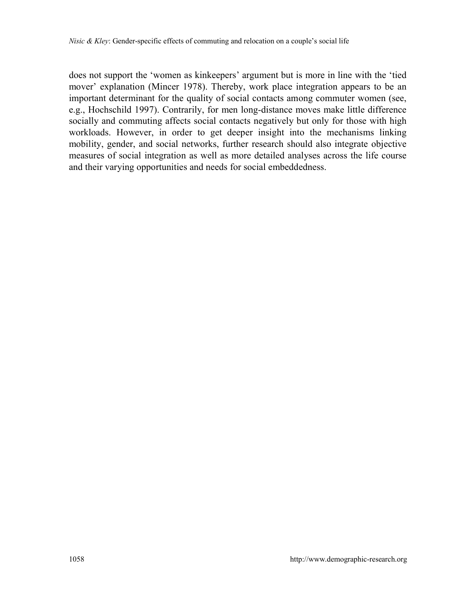does not support the 'women as kinkeepers' argument but is more in line with the 'tied mover' explanation (Mincer 1978). Thereby, work place integration appears to be an important determinant for the quality of social contacts among commuter women (see, e.g., Hochschild 1997). Contrarily, for men long-distance moves make little difference socially and commuting affects social contacts negatively but only for those with high workloads. However, in order to get deeper insight into the mechanisms linking mobility, gender, and social networks, further research should also integrate objective measures of social integration as well as more detailed analyses across the life course and their varying opportunities and needs for social embeddedness.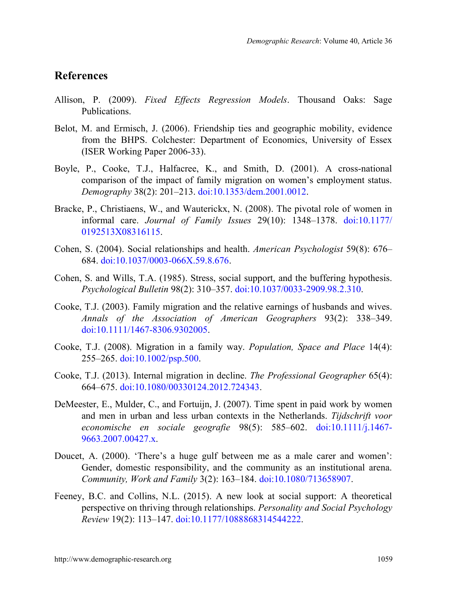### **References**

- Allison, P. (2009). *Fixed Effects Regression Models*. Thousand Oaks: Sage Publications.
- Belot, M. and Ermisch, J. (2006). Friendship ties and geographic mobility, evidence from the BHPS. Colchester: Department of Economics, University of Essex (ISER Working Paper 2006-33).
- Boyle, P., Cooke, T.J., Halfacree, K., and Smith, D. (2001). A cross-national comparison of the impact of family migration on women's employment status. *Demography* 38(2): 201–213. [doi:10.1353/dem.2001.0012.](https://doi.org/10.1353/dem.2001.0012)
- Bracke, P., Christiaens, W., and Wauterickx, N. (2008). The pivotal role of women in informal care. *Journal of Family Issues* 29(10): 1348–1378. [doi:10.1177/](https://doi.org/10.1177/0192513X08316115) [0192513X08316115.](https://doi.org/10.1177/0192513X08316115)
- Cohen, S. (2004). Social relationships and health. *American Psychologist* 59(8): 676– 684. [doi:10.1037/0003-066X.59.8.676.](https://doi.org/10.1037/0003-066X.59.8.676)
- Cohen, S. and Wills, T.A. (1985). Stress, social support, and the buffering hypothesis. *Psychological Bulletin* 98(2): 310–357. [doi:10.1037/0033-2909.98.2.310.](https://doi.org/10.1037/0033-2909.98.2.310)
- Cooke, T.J. (2003). Family migration and the relative earnings of husbands and wives. *Annals of the Association of American Geographers* 93(2): 338–349. [doi:10.1111/1467-8306.9302005.](https://doi.org/10.1111/1467-8306.9302005)
- Cooke, T.J. (2008). Migration in a family way. *Population, Space and Place* 14(4): 255–265. [doi:10.1002/psp.500.](https://doi.org/10.1002/psp.500)
- Cooke, T.J. (2013). Internal migration in decline. *The Professional Geographer* 65(4): 664–675. [doi:10.1080/00330124.2012.724343.](https://doi.org/10.1080/00330124.2012.724343)
- DeMeester, E., Mulder, C., and Fortuijn, J. (2007). Time spent in paid work by women and men in urban and less urban contexts in the Netherlands. *Tijdschrift voor economische en sociale geografie* 98(5): 585–602. [doi:10.1111/j.1467-](https://doi.org/10.1111/j.1467-9663.2007.00427.x) [9663.2007.00427.x.](https://doi.org/10.1111/j.1467-9663.2007.00427.x)
- Doucet, A. (2000). 'There's a huge gulf between me as a male carer and women': Gender, domestic responsibility, and the community as an institutional arena. *Community, Work and Family* 3(2): 163–184. [doi:10.1080/713658907.](https://doi.org/10.1080/713658907)
- Feeney, B.C. and Collins, N.L. (2015). A new look at social support: A theoretical perspective on thriving through relationships. *Personality and Social Psychology Review* 19(2): 113–147. [doi:10.1177/1088868314544222.](https://doi.org/10.1177/1088868314544222)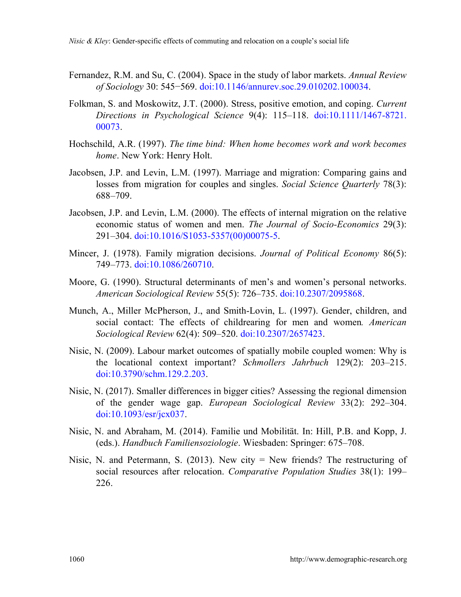- Fernandez, R.M. and Su, C. (2004). Space in the study of labor markets. *Annual Review of Sociology* 30: 545−569. [doi:10.1146/annurev.soc.29.010202.100034.](https://doi.org/10.1146/annurev.soc.29.010202.100034)
- Folkman, S. and Moskowitz, J.T. (2000). Stress, positive emotion, and coping. *Current Directions in Psychological Science* 9(4): 115–118. [doi:10.1111/1467-8721.](https://doi.org/10.1111/1467-8721.00073) [00073.](https://doi.org/10.1111/1467-8721.00073)
- Hochschild, A.R. (1997). *The time bind: When home becomes work and work becomes home*. New York: Henry Holt.
- Jacobsen, J.P. and Levin, L.M. (1997). Marriage and migration: Comparing gains and losses from migration for couples and singles. *Social Science Quarterly* 78(3): 688–709.
- Jacobsen, J.P. and Levin, L.M. (2000). The effects of internal migration on the relative economic status of women and men. *The Journal of Socio-Economics* 29(3): 291–304. [doi:10.1016/S1053-5357\(00\)00075-5.](https://doi.org/10.1016/S1053-5357(00)00075-5)
- Mincer, J. (1978). Family migration decisions. *Journal of Political Economy* 86(5): 749–773. [doi:10.1086/260710.](https://doi.org/10.1086/260710)
- Moore, G. (1990). Structural determinants of men's and women's personal networks. *American Sociological Review* 55(5): 726–735. [doi:10.2307/2095868.](https://doi.org/10.2307/2095868)
- Munch, A., Miller McPherson, J., and Smith-Lovin, L. (1997). Gender, children, and social contact: The effects of childrearing for men and women*. American Sociological Review* 62(4): 509–520. [doi:10.2307/2657423.](https://doi.org/10.2307/2657423)
- Nisic, N. (2009). Labour market outcomes of spatially mobile coupled women: Why is the locational context important? *Schmollers Jahrbuch* 129(2): 203–215. [doi:10.3790/schm.129.2.203.](https://doi.org/10.3790/schm.129.2.203)
- Nisic, N. (2017). Smaller differences in bigger cities? Assessing the regional dimension of the gender wage gap. *European Sociological Review* 33(2): 292–304. [doi:10.1093/esr/jcx037.](https://doi.org/10.1093/esr/jcx037)
- Nisic, N. and Abraham, M. (2014). Familie und Mobilität. In: Hill, P.B. and Kopp, J. (eds.). *Handbuch Familiensoziologie*. Wiesbaden: Springer: 675–708.
- Nisic, N. and Petermann, S. (2013). New city  $=$  New friends? The restructuring of social resources after relocation. *Comparative Population Studies* 38(1): 199– 226.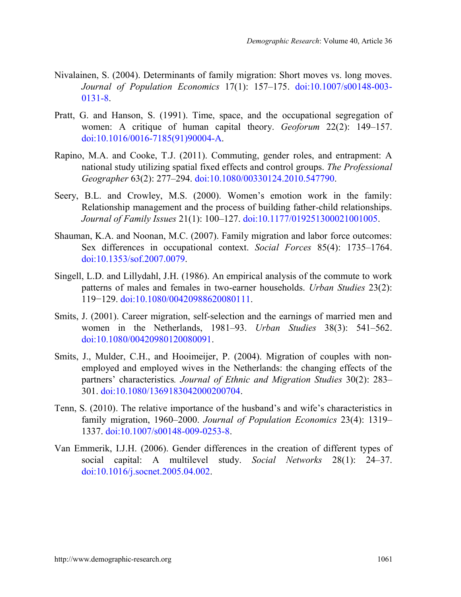- Nivalainen, S. (2004). Determinants of family migration: Short moves vs. long moves. *Journal of Population Economics* 17(1): 157–175. [doi:10.1007/s00148-003-](https://doi.org/10.1007/s00148-003-0131-8) [0131-8.](https://doi.org/10.1007/s00148-003-0131-8)
- Pratt, G. and Hanson, S. (1991). Time, space, and the occupational segregation of women: A critique of human capital theory. *Geoforum* 22(2): 149–157. [doi:10.1016/0016-7185\(91\)90004-A.](https://doi.org/10.1016/0016-7185(91)90004-A)
- Rapino, M.A. and Cooke, T.J. (2011). Commuting, gender roles, and entrapment: A national study utilizing spatial fixed effects and control groups. *The Professional Geographer* 63(2): 277–294. [doi:10.1080/00330124.2010.547790.](https://doi.org/10.1080/00330124.2010.547790)
- Seery, B.L. and Crowley, M.S. (2000). Women's emotion work in the family: Relationship management and the process of building father-child relationships. *Journal of Family Issues* 21(1): 100–127. [doi:10.1177/019251300021001005.](https://doi.org/10.1177/019251300021001005)
- Shauman, K.A. and Noonan, M.C. (2007). Family migration and labor force outcomes: Sex differences in occupational context. *Social Forces* 85(4): 1735–1764. [doi:10.1353/sof.2007.0079.](https://doi.org/10.1353/sof.2007.0079)
- Singell, L.D. and Lillydahl, J.H. (1986). An empirical analysis of the commute to work patterns of males and females in two-earner households. *Urban Studies* 23(2): 119−129. [doi:10.1080/00420988620080111.](https://doi.org/10.1080/00420988620080111)
- Smits, J. (2001). Career migration, self-selection and the earnings of married men and women in the Netherlands, 1981–93. *Urban Studies* 38(3): 541–562. [doi:10.1080/00420980120080091.](https://doi.org/10.1080/00420980120080091)
- Smits, J., Mulder, C.H., and Hooimeijer, P. (2004). Migration of couples with nonemployed and employed wives in the Netherlands: the changing effects of the partners' characteristics*. Journal of Ethnic and Migration Studies* 30(2): 283– 301. [doi:10.1080/1369183042000200704.](https://doi.org/10.1080/1369183042000200704)
- Tenn, S. (2010). The relative importance of the husband's and wife's characteristics in family migration, 1960–2000. *Journal of Population Economics* 23(4): 1319– 1337. [doi:10.1007/s00148-009-0253-8.](https://doi.org/10.1007/s00148-009-0253-8)
- Van Emmerik, I.J.H. (2006). Gender differences in the creation of different types of social capital: A multilevel study. *Social Networks* 28(1): 24–37. [doi:10.1016/j.socnet.2005.04.002.](https://doi.org/10.1016/j.socnet.2005.04.002)